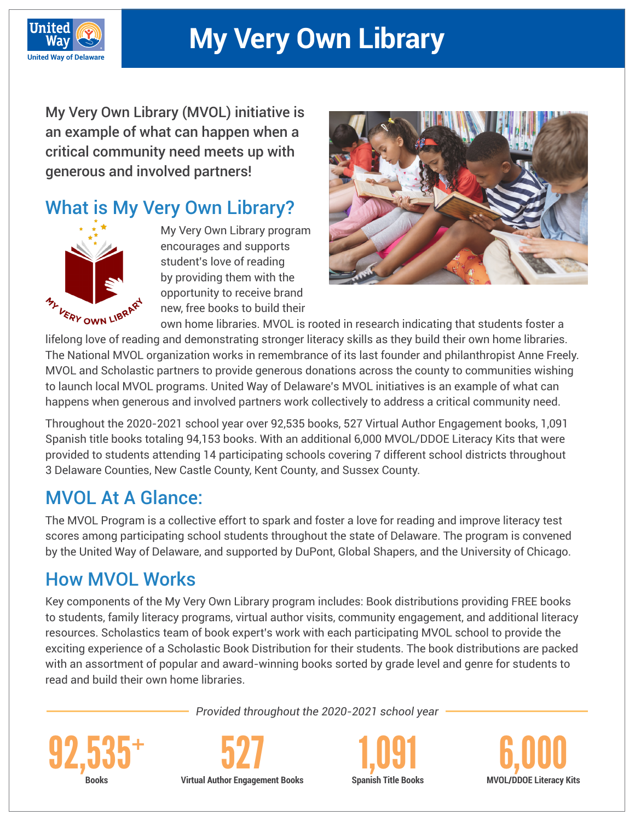

# **My Very Own Library**

My Very Own Library (MVOL) initiative is an example of what can happen when a critical community need meets up with generous and involved partners!

## What is My Very Own Library?



My Very Own Library program encourages and supports student's love of reading by providing them with the opportunity to receive brand new, free books to build their



own home libraries. MVOL is rooted in research indicating that students foster a

lifelong love of reading and demonstrating stronger literacy skills as they build their own home libraries. The National MVOL organization works in remembrance of its last founder and philanthropist Anne Freely. MVOL and Scholastic partners to provide generous donations across the county to communities wishing to launch local MVOL programs. United Way of Delaware's MVOL initiatives is an example of what can happens when generous and involved partners work collectively to address a critical community need.

Throughout the 2020-2021 school year over 92,535 books, 527 Virtual Author Engagement books, 1,091 Spanish title books totaling 94,153 books. With an additional 6,000 MVOL/DDOE Literacy Kits that were provided to students attending 14 participating schools covering 7 different school districts throughout 3 Delaware Counties, New Castle County, Kent County, and Sussex County.

## MVOL At A Glance:

The MVOL Program is a collective effort to spark and foster a love for reading and improve literacy test scores among participating school students throughout the state of Delaware. The program is convened by the United Way of Delaware, and supported by DuPont, Global Shapers, and the University of Chicago.

## How MVOL Works

Key components of the My Very Own Library program includes: Book distributions providing FREE books to students, family literacy programs, virtual author visits, community engagement, and additional literacy resources. Scholastics team of book expert's work with each participating MVOL school to provide the exciting experience of a Scholastic Book Distribution for their students. The book distributions are packed with an assortment of popular and award-winning books sorted by grade level and genre for students to read and build their own home libraries.

*Provided throughout the 2020-2021 school year*